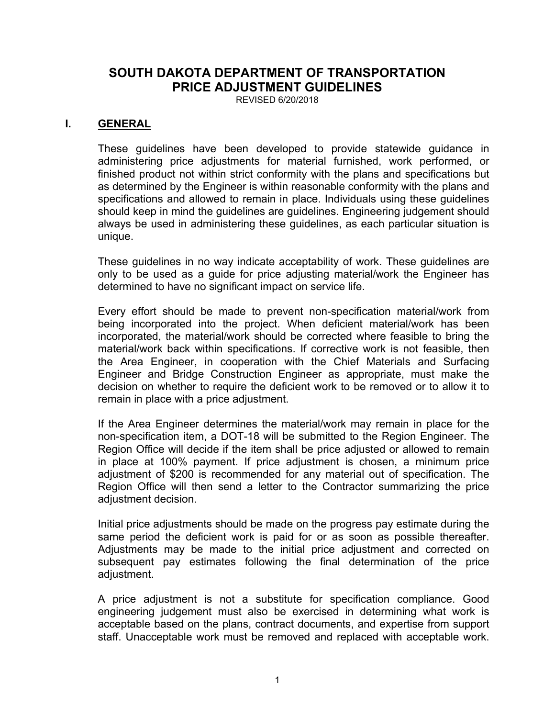# **SOUTH DAKOTA DEPARTMENT OF TRANSPORTATION PRICE ADJUSTMENT GUIDELINES**

REVISED 6/20/2018

### **I. GENERAL**

These guidelines have been developed to provide statewide guidance in administering price adjustments for material furnished, work performed, or finished product not within strict conformity with the plans and specifications but as determined by the Engineer is within reasonable conformity with the plans and specifications and allowed to remain in place. Individuals using these guidelines should keep in mind the guidelines are guidelines. Engineering judgement should always be used in administering these guidelines, as each particular situation is unique.

These guidelines in no way indicate acceptability of work. These guidelines are only to be used as a guide for price adjusting material/work the Engineer has determined to have no significant impact on service life.

Every effort should be made to prevent non-specification material/work from being incorporated into the project. When deficient material/work has been incorporated, the material/work should be corrected where feasible to bring the material/work back within specifications. If corrective work is not feasible, then the Area Engineer, in cooperation with the Chief Materials and Surfacing Engineer and Bridge Construction Engineer as appropriate, must make the decision on whether to require the deficient work to be removed or to allow it to remain in place with a price adjustment.

If the Area Engineer determines the material/work may remain in place for the non-specification item, a DOT-18 will be submitted to the Region Engineer. The Region Office will decide if the item shall be price adjusted or allowed to remain in place at 100% payment. If price adjustment is chosen, a minimum price adjustment of \$200 is recommended for any material out of specification. The Region Office will then send a letter to the Contractor summarizing the price adjustment decision.

Initial price adjustments should be made on the progress pay estimate during the same period the deficient work is paid for or as soon as possible thereafter. Adjustments may be made to the initial price adjustment and corrected on subsequent pay estimates following the final determination of the price adjustment.

A price adjustment is not a substitute for specification compliance. Good engineering judgement must also be exercised in determining what work is acceptable based on the plans, contract documents, and expertise from support staff. Unacceptable work must be removed and replaced with acceptable work.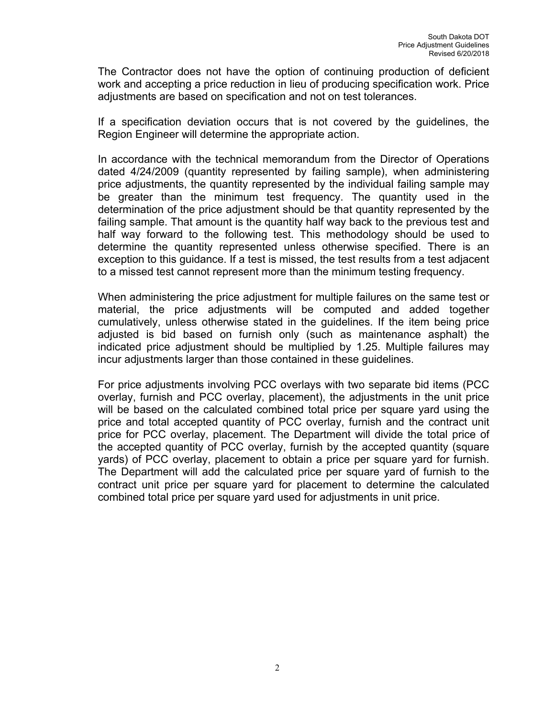The Contractor does not have the option of continuing production of deficient work and accepting a price reduction in lieu of producing specification work. Price adjustments are based on specification and not on test tolerances.

If a specification deviation occurs that is not covered by the guidelines, the Region Engineer will determine the appropriate action.

In accordance with the technical memorandum from the Director of Operations dated 4/24/2009 (quantity represented by failing sample), when administering price adjustments, the quantity represented by the individual failing sample may be greater than the minimum test frequency. The quantity used in the determination of the price adjustment should be that quantity represented by the failing sample. That amount is the quantity half way back to the previous test and half way forward to the following test. This methodology should be used to determine the quantity represented unless otherwise specified. There is an exception to this guidance. If a test is missed, the test results from a test adjacent to a missed test cannot represent more than the minimum testing frequency.

When administering the price adjustment for multiple failures on the same test or material, the price adjustments will be computed and added together cumulatively, unless otherwise stated in the guidelines. If the item being price adjusted is bid based on furnish only (such as maintenance asphalt) the indicated price adjustment should be multiplied by 1.25. Multiple failures may incur adjustments larger than those contained in these guidelines.

For price adjustments involving PCC overlays with two separate bid items (PCC overlay, furnish and PCC overlay, placement), the adjustments in the unit price will be based on the calculated combined total price per square yard using the price and total accepted quantity of PCC overlay, furnish and the contract unit price for PCC overlay, placement. The Department will divide the total price of the accepted quantity of PCC overlay, furnish by the accepted quantity (square yards) of PCC overlay, placement to obtain a price per square yard for furnish. The Department will add the calculated price per square yard of furnish to the contract unit price per square yard for placement to determine the calculated combined total price per square yard used for adjustments in unit price.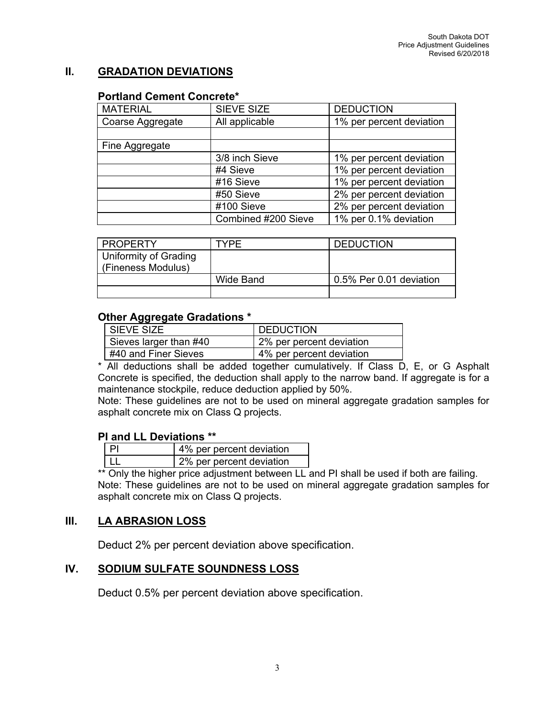## **II. GRADATION DEVIATIONS**

### **Portland Cement Concrete\***

| <b>SIEVE SIZE</b>   | <b>DEDUCTION</b>         |
|---------------------|--------------------------|
| All applicable      | 1% per percent deviation |
|                     |                          |
|                     |                          |
| 3/8 inch Sieve      | 1% per percent deviation |
| #4 Sieve            | 1% per percent deviation |
| #16 Sieve           | 1% per percent deviation |
| #50 Sieve           | 2% per percent deviation |
| #100 Sieve          | 2% per percent deviation |
| Combined #200 Sieve | 1% per 0.1% deviation    |
|                     |                          |

| <b>PROPERTY</b>       | TYPF      | <b>DEDUCTION</b>        |
|-----------------------|-----------|-------------------------|
| Uniformity of Grading |           |                         |
| (Fineness Modulus)    |           |                         |
|                       | Wide Band | 0.5% Per 0.01 deviation |
|                       |           |                         |

### **Other Aggregate Gradations \***

| I SIEVE SIZE           | <b>DEDUCTION</b>         |
|------------------------|--------------------------|
| Sieves larger than #40 | 2% per percent deviation |
| #40 and Finer Sieves   | 4% per percent deviation |

\* All deductions shall be added together cumulatively. If Class D, E, or G Asphalt Concrete is specified, the deduction shall apply to the narrow band. If aggregate is for a maintenance stockpile, reduce deduction applied by 50%.

Note: These guidelines are not to be used on mineral aggregate gradation samples for asphalt concrete mix on Class Q projects.

### **PI and LL Deviations \*\***

| 4% per percent deviation |
|--------------------------|
| 2% per percent deviation |

\*\* Only the higher price adjustment between LL and PI shall be used if both are failing. Note: These guidelines are not to be used on mineral aggregate gradation samples for asphalt concrete mix on Class Q projects.

## **III. LA ABRASION LOSS**

Deduct 2% per percent deviation above specification.

## **IV. SODIUM SULFATE SOUNDNESS LOSS**

Deduct 0.5% per percent deviation above specification.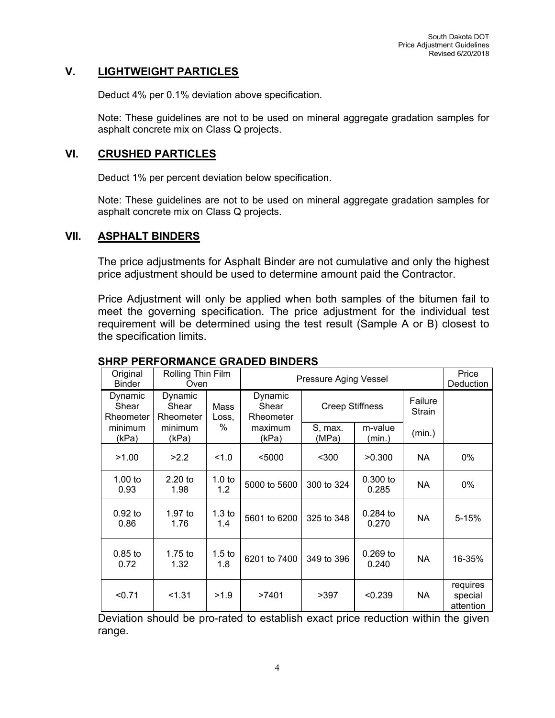## **V. LIGHTWEIGHT PARTICLES**

Deduct 4% per 0.1% deviation above specification.

Note: These guidelines are not to be used on mineral aggregate gradation samples for asphalt concrete mix on Class Q projects.

### **VI. CRUSHED PARTICLES**

Deduct 1% per percent deviation below specification.

Note: These guidelines are not to be used on mineral aggregate gradation samples for asphalt concrete mix on Class Q projects.

### **VII. ASPHALT BINDERS**

The price adjustments for Asphalt Binder are not cumulative and only the highest price adjustment should be used to determine amount paid the Contractor.

Price Adjustment will only be applied when both samples of the bitumen fail to meet the governing specification. The price adjustment for the individual test requirement will be determined using the test result (Sample A or B) closest to the specification limits.

| Original<br><b>Binder</b>     | Rolling Thin Film<br>Oven     |                          |                               |                        | Pressure Aging Vessel |                   | Price<br>Deduction               |
|-------------------------------|-------------------------------|--------------------------|-------------------------------|------------------------|-----------------------|-------------------|----------------------------------|
| Dynamic<br>Shear<br>Rheometer | Dynamic<br>Shear<br>Rheometer | Mass<br>Loss,            | Dynamic<br>Shear<br>Rheometer | <b>Creep Stiffness</b> |                       | Failure<br>Strain |                                  |
| minimum<br>(kPa)              | minimum<br>(kPa)              | $\%$                     | maximum<br>(kPa)              | S, max.<br>(MPa)       | m-value<br>(min.)     | (min.)            |                                  |
| >1.00                         | >2.2                          | 1.0                      | $5000$                        | $300$                  | >0.300                | <b>NA</b>         | 0%                               |
| 1.00 to<br>0.93               | $2.20$ to<br>1.98             | 1.0 <sub>to</sub><br>1.2 | 5000 to 5600                  | 300 to 324             | 0.300 to<br>0.285     | NA                | 0%                               |
| $0.92$ to<br>0.86             | $1.97$ to<br>1.76             | 1.3 <sub>to</sub><br>1.4 | 5601 to 6200                  | 325 to 348             | $0.284$ to<br>0.270   | <b>NA</b>         | $5 - 15%$                        |
| $0.85$ to<br>0.72             | $1.75$ to<br>1.32             | $1.5$ to<br>1.8          | 6201 to 7400                  | 349 to 396             | $0.269$ to<br>0.240   | <b>NA</b>         | 16-35%                           |
| < 0.71                        | < 1.31                        | >1.9                     | >7401                         | >397                   | < 0.239               | NA.               | requires<br>special<br>attention |

## **SHRP PERFORMANCE GRADED BINDERS**

Deviation should be pro-rated to establish exact price reduction within the given range.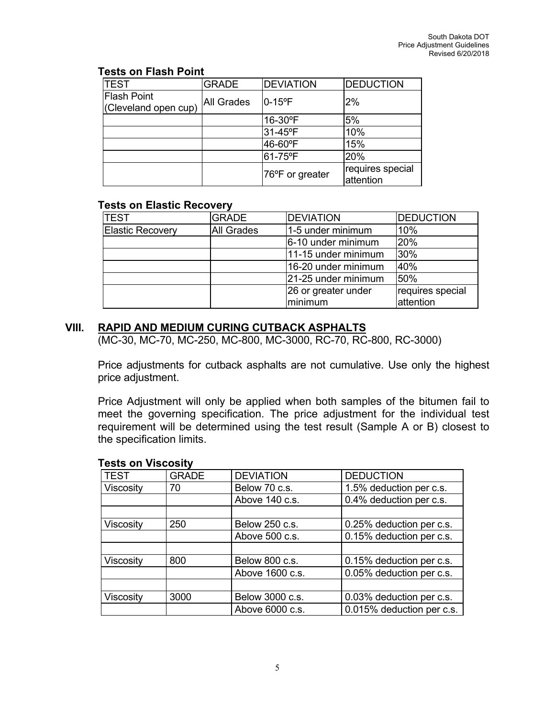### **Tests on Flash Point**

| <b>TEST</b>                                | <b>GRADE</b> | <b>DEVIATION</b> | <b>DEDUCTION</b>              |
|--------------------------------------------|--------------|------------------|-------------------------------|
| <b>Flash Point</b><br>(Cleveland open cup) | All Grades   | $10-15$ °F       | 2%                            |
|                                            |              | 16-30°F          | 5%                            |
|                                            |              | 31-45°F          | 10%                           |
|                                            |              | 46-60°F          | 15%                           |
|                                            |              | l61-75ºF         | 20%                           |
|                                            |              | 76°F or greater  | requires special<br>attention |

## **Tests on Elastic Recovery**

| <b>TEST</b>      | <b>GRADE</b> | <b>DEVIATION</b>    | <b>DEDUCTION</b> |
|------------------|--------------|---------------------|------------------|
| Elastic Recovery | All Grades   | 1-5 under minimum   | 10%              |
|                  |              | 6-10 under minimum  | 20%              |
|                  |              | 11-15 under minimum | 30%              |
|                  |              | 16-20 under minimum | 40%              |
|                  |              | 21-25 under minimum | 50%              |
|                  |              | 26 or greater under | requires special |
|                  |              | minimum             | attention        |

## **VIII. RAPID AND MEDIUM CURING CUTBACK ASPHALTS**

(MC-30, MC-70, MC-250, MC-800, MC-3000, RC-70, RC-800, RC-3000)

Price adjustments for cutback asphalts are not cumulative. Use only the highest price adjustment.

Price Adjustment will only be applied when both samples of the bitumen fail to meet the governing specification. The price adjustment for the individual test requirement will be determined using the test result (Sample A or B) closest to the specification limits.

| י ייטטיי ייט אינט טא |              |                  |                           |
|----------------------|--------------|------------------|---------------------------|
| <b>TEST</b>          | <b>GRADE</b> | <b>DEVIATION</b> | <b>DEDUCTION</b>          |
| Viscosity            | 70           | Below 70 c.s.    | 1.5% deduction per c.s.   |
|                      |              | Above 140 c.s.   | 0.4% deduction per c.s.   |
|                      |              |                  |                           |
| Viscosity            | 250          | Below 250 c.s.   | 0.25% deduction per c.s.  |
|                      |              | Above 500 c.s.   | 0.15% deduction per c.s.  |
|                      |              |                  |                           |
| Viscosity            | 800          | Below 800 c.s.   | 0.15% deduction per c.s.  |
|                      |              | Above 1600 c.s.  | 0.05% deduction per c.s.  |
|                      |              |                  |                           |
| Viscosity            | 3000         | Below 3000 c.s.  | 0.03% deduction per c.s.  |
|                      |              | Above 6000 c.s.  | 0.015% deduction per c.s. |

### **Tests on Viscosity**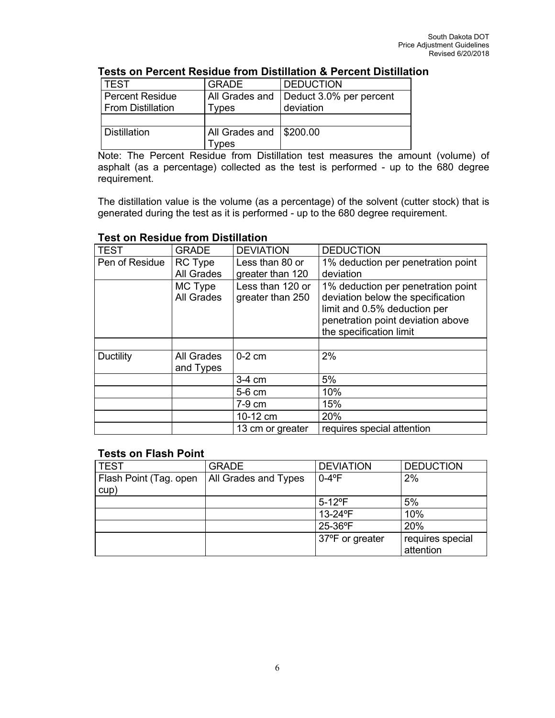## **Tests on Percent Residue from Distillation & Percent Distillation**

| TEST                   | <b>GRADE</b>              | <b>DEDUCTION</b>        |
|------------------------|---------------------------|-------------------------|
| <b>Percent Residue</b> | All Grades and            | Deduct 3.0% per percent |
| From Distillation      | <b>Types</b>              | deviation               |
|                        |                           |                         |
| ∣ Distillation.        | All Grades and   \$200.00 |                         |
|                        | ypes                      |                         |

Note: The Percent Residue from Distillation test measures the amount (volume) of asphalt (as a percentage) collected as the test is performed - up to the 680 degree requirement.

The distillation value is the volume (as a percentage) of the solvent (cutter stock) that is generated during the test as it is performed - up to the 680 degree requirement.

| <b>TEST</b>      | <b>GRADE</b> | <b>DEVIATION</b> | <b>DEDUCTION</b>                   |
|------------------|--------------|------------------|------------------------------------|
| Pen of Residue   | RC Type      | Less than 80 or  | 1% deduction per penetration point |
|                  | All Grades   | greater than 120 | deviation                          |
|                  | MC Type      | Less than 120 or | 1% deduction per penetration point |
|                  | All Grades   | greater than 250 | deviation below the specification  |
|                  |              |                  | limit and 0.5% deduction per       |
|                  |              |                  | penetration point deviation above  |
|                  |              |                  | the specification limit            |
|                  |              |                  |                                    |
| <b>Ductility</b> | All Grades   | $0-2$ cm         | 2%                                 |
|                  | and Types    |                  |                                    |
|                  |              | 3-4 cm           | 5%                                 |
|                  |              | 5-6 cm           | 10%                                |
|                  |              | 7-9 cm           | 15%                                |
|                  |              | 10-12 cm         | 20%                                |
|                  |              | 13 cm or greater | requires special attention         |

### **Test on Residue from Distillation**

#### **Tests on Flash Point**

| <b>TEST</b>                    | <b>GRADE</b>         | <b>DEVIATION</b>        | <b>DEDUCTION</b> |
|--------------------------------|----------------------|-------------------------|------------------|
| Flash Point (Tag. open<br>cup) | All Grades and Types | $0-4$ °F                | 2%               |
|                                |                      |                         |                  |
|                                |                      | $5 - 12$ <sup>o</sup> F | 5%               |
|                                |                      | 13-24°F                 | 10%              |
|                                |                      | 25-36°F                 | 20%              |
|                                |                      | 37°F or greater         | requires special |
|                                |                      |                         | attention        |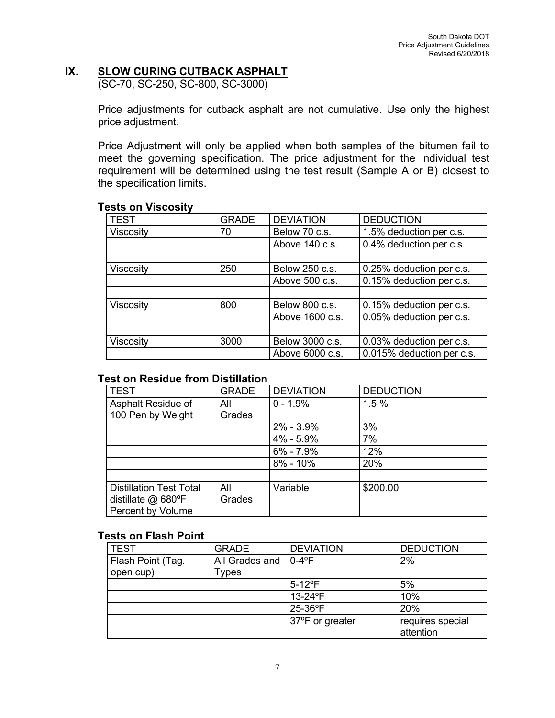# **IX. SLOW CURING CUTBACK ASPHALT**

(SC-70, SC-250, SC-800, SC-3000)

Price adjustments for cutback asphalt are not cumulative. Use only the highest price adjustment.

Price Adjustment will only be applied when both samples of the bitumen fail to meet the governing specification. The price adjustment for the individual test requirement will be determined using the test result (Sample A or B) closest to the specification limits.

### **Tests on Viscosity**

| <b>TEST</b> | <b>GRADE</b> | <b>DEVIATION</b> | <b>DEDUCTION</b>          |
|-------------|--------------|------------------|---------------------------|
| Viscosity   | 70           | Below 70 c.s.    | 1.5% deduction per c.s.   |
|             |              | Above 140 c.s.   | 0.4% deduction per c.s.   |
|             |              |                  |                           |
| Viscosity   | 250          | Below 250 c.s.   | 0.25% deduction per c.s.  |
|             |              | Above 500 c.s.   | 0.15% deduction per c.s.  |
|             |              |                  |                           |
| Viscosity   | 800          | Below 800 c.s.   | 0.15% deduction per c.s.  |
|             |              | Above 1600 c.s.  | 0.05% deduction per c.s.  |
|             |              |                  |                           |
| Viscosity   | 3000         | Below 3000 c.s.  | 0.03% deduction per c.s.  |
|             |              | Above 6000 c.s.  | 0.015% deduction per c.s. |

### **Test on Residue from Distillation**

| <b>TEST</b>                    | <b>GRADE</b> | <b>DEVIATION</b> | <b>DEDUCTION</b> |
|--------------------------------|--------------|------------------|------------------|
| Asphalt Residue of             | All          | $0 - 1.9%$       | 1.5%             |
| 100 Pen by Weight              | Grades       |                  |                  |
|                                |              | $2\% - 3.9\%$    | 3%               |
|                                |              | 4% - 5.9%        | 7%               |
|                                |              | $6\% - 7.9\%$    | 12%              |
|                                |              | $8\% - 10\%$     | 20%              |
|                                |              |                  |                  |
| <b>Distillation Test Total</b> | All          | Variable         | \$200.00         |
| distillate @ 680°F             | Grades       |                  |                  |
| Percent by Volume              |              |                  |                  |

### **Tests on Flash Point**

| <b>TEST</b>       | <b>GRADE</b>   | <b>DEVIATION</b>       | <b>DEDUCTION</b> |
|-------------------|----------------|------------------------|------------------|
| Flash Point (Tag. | All Grades and | $0 - 4$ <sup>o</sup> F | 2%               |
| open cup)         | Types          |                        |                  |
|                   |                | $5-12$ <sup>o</sup> F  | 5%               |
|                   |                | 13-24°F                | 10%              |
|                   |                | 25-36°F                | 20%              |
|                   |                | 37°F or greater        | requires special |
|                   |                |                        | attention        |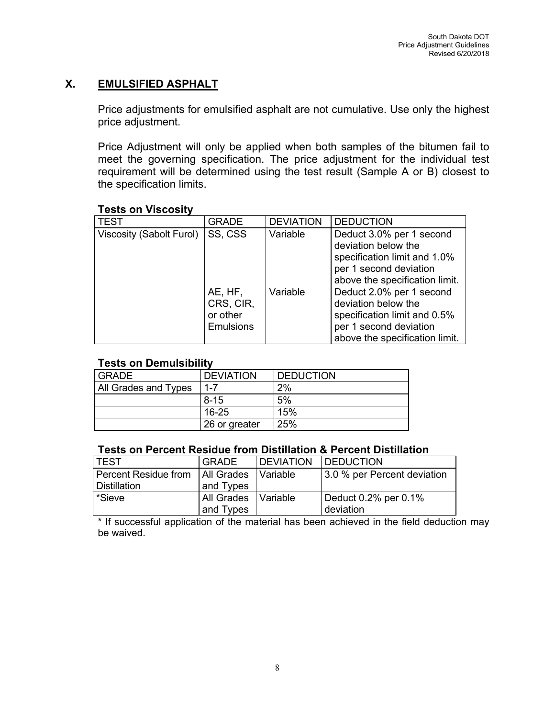# **X. EMULSIFIED ASPHALT**

Price adjustments for emulsified asphalt are not cumulative. Use only the highest price adjustment.

Price Adjustment will only be applied when both samples of the bitumen fail to meet the governing specification. The price adjustment for the individual test requirement will be determined using the test result (Sample A or B) closest to the specification limits.

| <b>TEST</b>              | <b>GRADE</b>                                         | <b>DEVIATION</b> | <b>DEDUCTION</b>                                                                                                                            |
|--------------------------|------------------------------------------------------|------------------|---------------------------------------------------------------------------------------------------------------------------------------------|
| Viscosity (Sabolt Furol) | SS, CSS                                              | Variable         | Deduct 3.0% per 1 second<br>deviation below the<br>specification limit and 1.0%<br>per 1 second deviation<br>above the specification limit. |
|                          | AE, HF,<br>CRS, CIR,<br>or other<br><b>Emulsions</b> | Variable         | Deduct 2.0% per 1 second<br>deviation below the<br>specification limit and 0.5%<br>per 1 second deviation<br>above the specification limit. |

## **Tests on Viscosity**

## **Tests on Demulsibility**

| <b>GRADE</b>         | <b>DEVIATION</b> | <b>DEDUCTION</b> |
|----------------------|------------------|------------------|
| All Grades and Types | 1-7              | 2%               |
|                      | $8 - 15$         | 5%               |
|                      | $16 - 25$        | 15%              |
|                      | 26 or greater    | 25%              |

### **Tests on Percent Residue from Distillation & Percent Distillation**

| l TEST                                       | <b>GRADE</b>          | <b>IDEVIATION</b> | <b>DEDUCTION</b>            |
|----------------------------------------------|-----------------------|-------------------|-----------------------------|
| Percent Residue from   All Grades   Variable |                       |                   | 3.0 % per Percent deviation |
| l Distillation                               | and Types             |                   |                             |
| l *Sieve                                     | All Grades   Variable |                   | Deduct 0.2% per 0.1%        |
|                                              | and Types             |                   | deviation                   |

\* If successful application of the material has been achieved in the field deduction may be waived.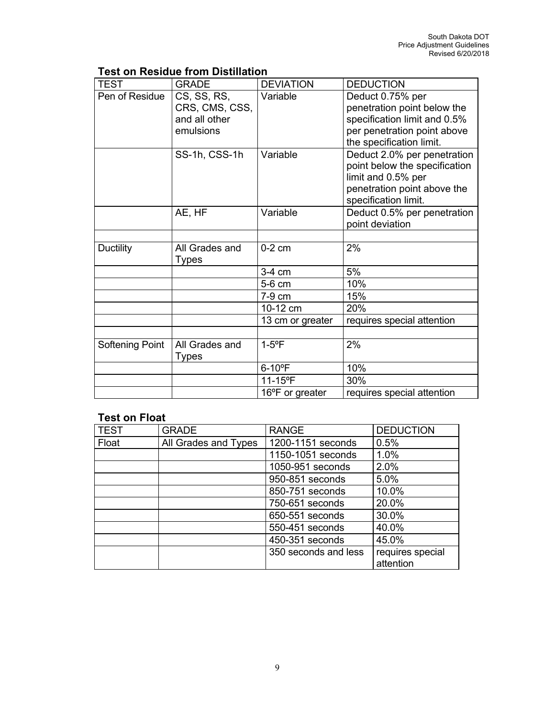# **Test on Residue from Distillation**

| <b>TEST</b>      | <b>GRADE</b>                                                | <b>DEVIATION</b> | <b>DEDUCTION</b>                                                                                                                           |
|------------------|-------------------------------------------------------------|------------------|--------------------------------------------------------------------------------------------------------------------------------------------|
| Pen of Residue   | CS, SS, RS,<br>CRS, CMS, CSS,<br>and all other<br>emulsions | Variable         | Deduct 0.75% per<br>penetration point below the<br>specification limit and 0.5%<br>per penetration point above<br>the specification limit. |
|                  | SS-1h, CSS-1h                                               | Variable         | Deduct 2.0% per penetration<br>point below the specification<br>limit and 0.5% per<br>penetration point above the<br>specification limit.  |
|                  | AE, HF                                                      | Variable         | Deduct 0.5% per penetration<br>point deviation                                                                                             |
| <b>Ductility</b> | All Grades and<br><b>Types</b>                              | $0-2$ cm         | 2%                                                                                                                                         |
|                  |                                                             | $3-4$ cm         | 5%                                                                                                                                         |
|                  |                                                             | 5-6 cm           | 10%                                                                                                                                        |
|                  |                                                             | 7-9 cm           | 15%                                                                                                                                        |
|                  |                                                             | 10-12 cm         | 20%                                                                                                                                        |
|                  |                                                             | 13 cm or greater | requires special attention                                                                                                                 |
| Softening Point  | All Grades and<br><b>Types</b>                              | $1-5$ °F         | 2%                                                                                                                                         |
|                  |                                                             | $6-10$ °F        | 10%                                                                                                                                        |
|                  |                                                             | 11-15°F          | 30%                                                                                                                                        |
|                  |                                                             | 16°F or greater  | requires special attention                                                                                                                 |

# **Test on Float**

| <b>TEST</b> | <b>GRADE</b>         | <b>RANGE</b>         | <b>DEDUCTION</b> |
|-------------|----------------------|----------------------|------------------|
| Float       | All Grades and Types | 1200-1151 seconds    | 0.5%             |
|             |                      | 1150-1051 seconds    | 1.0%             |
|             |                      | 1050-951 seconds     | 2.0%             |
|             |                      | 950-851 seconds      | 5.0%             |
|             |                      | 850-751 seconds      | 10.0%            |
|             |                      | 750-651 seconds      | 20.0%            |
|             |                      | 650-551 seconds      | 30.0%            |
|             |                      | 550-451 seconds      | 40.0%            |
|             |                      | 450-351 seconds      | 45.0%            |
|             |                      | 350 seconds and less | requires special |
|             |                      |                      | attention        |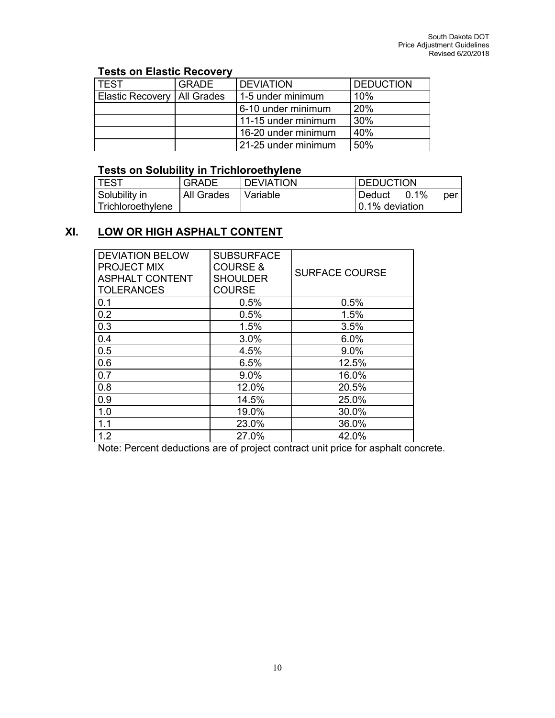# **Tests on Elastic Recovery**

| l TEST                        | <b>GRADE</b> | <b>DEVIATION</b>    | <b>DEDUCTION</b> |
|-------------------------------|--------------|---------------------|------------------|
| Elastic Recovery   All Grades |              | 1-5 under minimum   | 10%              |
|                               |              | 6-10 under minimum  | 20%              |
|                               |              | 11-15 under minimum | $^{\prime}$ 30%  |
|                               |              | 16-20 under minimum | 40%              |
|                               |              | 21-25 under minimum | 50%              |

### **Tests on Solubility in Trichloroethylene**

| <b>TEST</b>       | <b>GRADE</b> | <b>DEVIATION</b> | <b>DEDUCTION</b> |     |
|-------------------|--------------|------------------|------------------|-----|
| Solubility in     | All Grades   | ' Variable       | 0.1%<br>Deduct   | per |
| Trichloroethylene |              |                  | 0.1% deviation   |     |

# **XI. LOW OR HIGH ASPHALT CONTENT**

| <b>DEVIATION BELOW</b><br><b>PROJECT MIX</b><br><b>ASPHALT CONTENT</b><br><b>TOLERANCES</b> | <b>SUBSURFACE</b><br><b>COURSE &amp;</b><br><b>SHOULDER</b><br><b>COURSE</b> | <b>SURFACE COURSE</b> |
|---------------------------------------------------------------------------------------------|------------------------------------------------------------------------------|-----------------------|
| 0.1                                                                                         | 0.5%                                                                         | 0.5%                  |
| 0.2                                                                                         | 0.5%                                                                         | 1.5%                  |
| 0.3                                                                                         | 1.5%                                                                         | 3.5%                  |
| 0.4                                                                                         | 3.0%                                                                         | 6.0%                  |
| 0.5                                                                                         | 4.5%                                                                         | 9.0%                  |
| 0.6                                                                                         | 6.5%                                                                         | 12.5%                 |
| 0.7                                                                                         | 9.0%                                                                         | 16.0%                 |
| 0.8                                                                                         | 12.0%                                                                        | 20.5%                 |
| 0.9                                                                                         | 14.5%                                                                        | 25.0%                 |
| 1.0                                                                                         | 19.0%                                                                        | 30.0%                 |
| 1.1                                                                                         | 23.0%                                                                        | 36.0%                 |
| 1.2                                                                                         | 27.0%                                                                        | 42.0%                 |

Note: Percent deductions are of project contract unit price for asphalt concrete.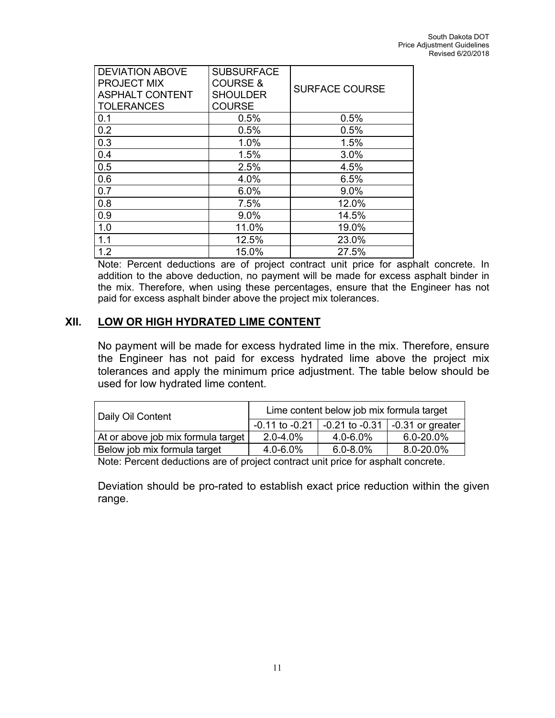| <b>DEVIATION ABOVE</b><br><b>PROJECT MIX</b> | <b>SUBSURFACE</b><br><b>COURSE &amp;</b> |                       |
|----------------------------------------------|------------------------------------------|-----------------------|
| <b>ASPHALT CONTENT</b>                       | <b>SHOULDER</b>                          | <b>SURFACE COURSE</b> |
| <b>TOLERANCES</b>                            | <b>COURSE</b>                            |                       |
| 0.1                                          | 0.5%                                     | 0.5%                  |
| 0.2                                          | 0.5%                                     | 0.5%                  |
| 0.3                                          | 1.0%                                     | 1.5%                  |
| 0.4                                          | 1.5%                                     | 3.0%                  |
| 0.5                                          | 2.5%                                     | 4.5%                  |
| 0.6                                          | 4.0%                                     | 6.5%                  |
| 0.7                                          | 6.0%                                     | 9.0%                  |
| 0.8                                          | 7.5%                                     | 12.0%                 |
| 0.9                                          | $9.0\%$                                  | 14.5%                 |
| 1.0                                          | 11.0%                                    | 19.0%                 |
| 1.1                                          | 12.5%                                    | 23.0%                 |
| 1.2                                          | 15.0%                                    | 27.5%                 |

Note: Percent deductions are of project contract unit price for asphalt concrete. In addition to the above deduction, no payment will be made for excess asphalt binder in the mix. Therefore, when using these percentages, ensure that the Engineer has not paid for excess asphalt binder above the project mix tolerances.

## **XII. LOW OR HIGH HYDRATED LIME CONTENT**

No payment will be made for excess hydrated lime in the mix. Therefore, ensure the Engineer has not paid for excess hydrated lime above the project mix tolerances and apply the minimum price adjustment. The table below should be used for low hydrated lime content.

| Daily Oil Content                  | Lime content below job mix formula target |                    |                          |
|------------------------------------|-------------------------------------------|--------------------|--------------------------|
|                                    | $-0.11$ to $-0.21$                        | $-0.21$ to $-0.31$ | $\vert$ -0.31 or greater |
| At or above job mix formula target | $2.0 - 4.0\%$                             | 4.0-6.0%           | $6.0 - 20.0\%$           |
| Below job mix formula target       | $4.0 - 6.0\%$                             | $6.0 - 8.0\%$      | 8.0-20.0%                |

Note: Percent deductions are of project contract unit price for asphalt concrete.

Deviation should be pro-rated to establish exact price reduction within the given range.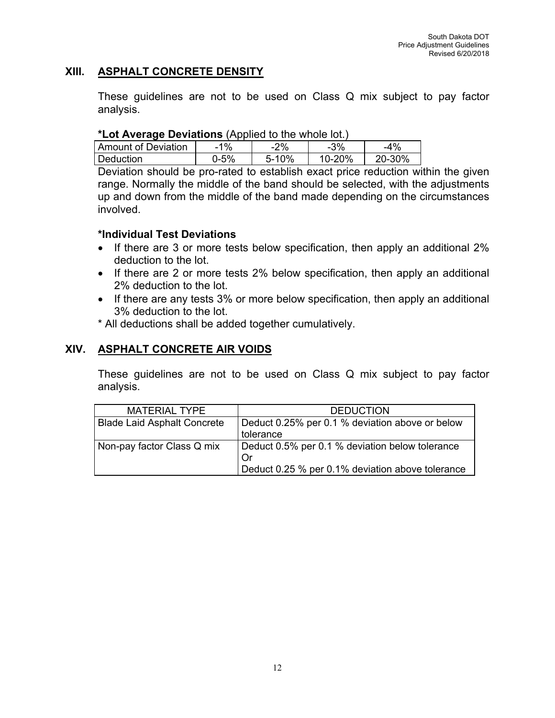## **XIII. ASPHALT CONCRETE DENSITY**

These guidelines are not to be used on Class Q mix subject to pay factor analysis.

### **\*Lot Average Deviations** (Applied to the whole lot.)

| Amount of Deviation | 1%   | $2\%$     | $-3\%$ | -4%    |
|---------------------|------|-----------|--------|--------|
| Deduction           | ጋ-5% | $5 - 10%$ | 10-20% | 20-30% |

Deviation should be pro-rated to establish exact price reduction within the given range. Normally the middle of the band should be selected, with the adjustments up and down from the middle of the band made depending on the circumstances involved.

## **\*Individual Test Deviations**

- If there are 3 or more tests below specification, then apply an additional 2% deduction to the lot.
- If there are 2 or more tests 2% below specification, then apply an additional 2% deduction to the lot.
- If there are any tests 3% or more below specification, then apply an additional 3% deduction to the lot.
- \* All deductions shall be added together cumulatively.

## **XIV. ASPHALT CONCRETE AIR VOIDS**

These guidelines are not to be used on Class Q mix subject to pay factor analysis.

| MATERIAL TYPE                      | <b>DEDUCTION</b>                                      |
|------------------------------------|-------------------------------------------------------|
| <b>Blade Laid Asphalt Concrete</b> | Deduct 0.25% per 0.1 % deviation above or below       |
|                                    | tolerance                                             |
| Non-pay factor Class Q mix         | Deduct 0.5% per 0.1 % deviation below tolerance<br>Or |
|                                    | Deduct 0.25 % per 0.1% deviation above tolerance      |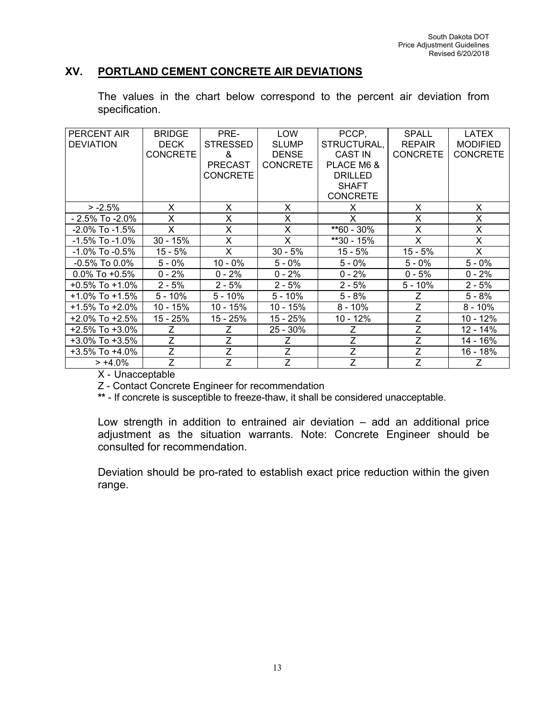## **XV. PORTLAND CEMENT CONCRETE AIR DEVIATIONS**

The values in the chart below correspond to the percent air deviation from specification.

| PERCENT AIR          | <b>BRIDGE</b>   | PRE-            | LOW             | PCCP,           | <b>SPALL</b>    | LATEX           |
|----------------------|-----------------|-----------------|-----------------|-----------------|-----------------|-----------------|
| <b>DEVIATION</b>     | <b>DECK</b>     | <b>STRESSED</b> | <b>SLUMP</b>    | STRUCTURAL,     | <b>REPAIR</b>   | <b>MODIFIED</b> |
|                      | <b>CONCRETE</b> | &               | <b>DENSE</b>    | <b>CAST IN</b>  | <b>CONCRETE</b> | <b>CONCRETE</b> |
|                      |                 | <b>PRECAST</b>  | <b>CONCRETE</b> | PLACE M6 &      |                 |                 |
|                      |                 | <b>CONCRETE</b> |                 | <b>DRILLED</b>  |                 |                 |
|                      |                 |                 |                 | <b>SHAFT</b>    |                 |                 |
|                      |                 |                 |                 | <b>CONCRETE</b> |                 |                 |
| $> -2.5%$            | X               | X               | X               | X               | X               | X               |
| $-2.5\%$ To $-2.0\%$ | X               | X               | X               | X               | X               | X               |
| $-2.0\%$ To $-1.5\%$ | X               | X               | X               | $*60 - 30\%$    | X               | X               |
| $-1.5\%$ To $-1.0\%$ | $30 - 15%$      | X               | X               | **30 - 15%      | X               | X               |
| $-1.0\%$ To $-0.5\%$ | $15 - 5%$       | X               | $30 - 5%$       | $15 - 5%$       | 15 - 5%         | X               |
| $-0.5\%$ To 0.0%     | $5 - 0\%$       | $10 - 0\%$      | $5 - 0\%$       | $5 - 0\%$       | $5 - 0\%$       | $5 - 0\%$       |
| $0.0\%$ To +0.5%     | $0 - 2%$        | $0 - 2%$        | $0 - 2%$        | $0 - 2%$        | $0 - 5%$        | $0 - 2%$        |
| $+0.5\%$ To $+1.0\%$ | $2 - 5%$        | $2 - 5%$        | $2 - 5%$        | $2 - 5%$        | $5 - 10%$       | $2 - 5%$        |
| $+1.0\%$ To $+1.5\%$ | $5 - 10%$       | $5 - 10%$       | $5 - 10\%$      | $5 - 8%$        | Ζ               | $5 - 8%$        |
| $+1.5\%$ To $+2.0\%$ | $10 - 15%$      | 10 - 15%        | $10 - 15%$      | $8 - 10\%$      | Z               | $8 - 10\%$      |
| $+2.0\%$ To $+2.5\%$ | 15 - 25%        | 15 - 25%        | 15 - 25%        | $10 - 12%$      | $\overline{Z}$  | 10 - 12%        |
| $+2.5\%$ To $+3.0\%$ | Ζ               | Ζ               | $25 - 30\%$     | Z               | Z               | 12 - 14%        |
| $+3.0\%$ To $+3.5\%$ | Ζ               | Z               | Ζ               | Z               | Z               | 14 - 16%        |
| +3.5% To +4.0%       | $\overline{Z}$  | $\overline{Z}$  | $\overline{Z}$  | $\overline{Z}$  | $\overline{Z}$  | 16 - 18%        |
| $> +4.0%$            | Z.              | Z               | Z               | $\overline{Z}$  | Z               | Ζ               |

X - Unacceptable

Z - Contact Concrete Engineer for recommendation

**\*\*** - If concrete is susceptible to freeze-thaw, it shall be considered unacceptable.

Low strength in addition to entrained air deviation – add an additional price adjustment as the situation warrants. Note: Concrete Engineer should be consulted for recommendation.

Deviation should be pro-rated to establish exact price reduction within the given range.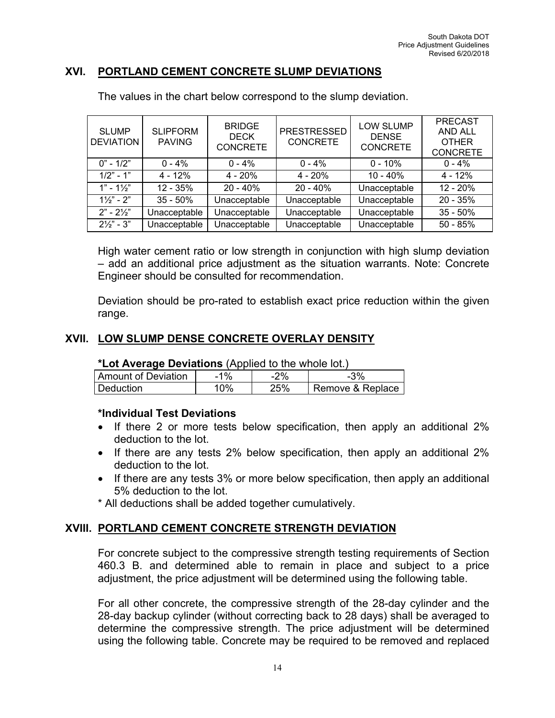### **XVI. PORTLAND CEMENT CONCRETE SLUMP DEVIATIONS**

| <b>SLUMP</b><br><b>DEVIATION</b> | <b>SLIPFORM</b><br><b>PAVING</b> | <b>BRIDGE</b><br><b>DECK</b><br><b>CONCRETE</b> | <b>PRESTRESSED</b><br><b>CONCRETE</b> | <b>LOW SLUMP</b><br><b>DENSE</b><br><b>CONCRETE</b> | <b>PRECAST</b><br><b>AND ALL</b><br><b>OTHER</b><br><b>CONCRETE</b> |
|----------------------------------|----------------------------------|-------------------------------------------------|---------------------------------------|-----------------------------------------------------|---------------------------------------------------------------------|
| $0" - 1/2"$                      | $0 - 4\%$                        | $0 - 4%$                                        | $0 - 4%$                              | $0 - 10\%$                                          | $0 - 4%$                                                            |
| $1/2" - 1"$                      | $4 - 12%$                        | $4 - 20%$                                       | $4 - 20%$                             | $10 - 40%$                                          | $4 - 12%$                                                           |
| $1" - 1\frac{1}{3}$              | $12 - 35%$                       | $20 - 40%$                                      | $20 - 40%$                            | Unacceptable                                        | 12 - 20%                                                            |
| $1\frac{1}{2}$ " - 2"            | $35 - 50\%$                      | Unacceptable                                    | Unacceptable                          | Unacceptable                                        | $20 - 35%$                                                          |
| $2" - 2\frac{1}{2}"$             | Unacceptable                     | Unacceptable                                    | Unacceptable                          | Unacceptable                                        | $35 - 50%$                                                          |
| $2\frac{1}{2}$ – 3"              | Unacceptable                     | Unacceptable                                    | Unacceptable                          | Unacceptable                                        | $50 - 85%$                                                          |

The values in the chart below correspond to the slump deviation.

High water cement ratio or low strength in conjunction with high slump deviation – add an additional price adjustment as the situation warrants. Note: Concrete Engineer should be consulted for recommendation.

Deviation should be pro-rated to establish exact price reduction within the given range.

## **XVII. LOW SLUMP DENSE CONCRETE OVERLAY DENSITY**

#### **\*Lot Average Deviations** (Applied to the whole lot.)

| Amount of Deviation | $1\%$  | ?%  | $-3%$            |
|---------------------|--------|-----|------------------|
| Deduction           | $10\%$ | 25% | Remove & Replace |

### **\*Individual Test Deviations**

- If there 2 or more tests below specification, then apply an additional 2% deduction to the lot.
- If there are any tests 2% below specification, then apply an additional 2% deduction to the lot.
- If there are any tests 3% or more below specification, then apply an additional 5% deduction to the lot.

\* All deductions shall be added together cumulatively.

## **XVIII. PORTLAND CEMENT CONCRETE STRENGTH DEVIATION**

For concrete subject to the compressive strength testing requirements of Section 460.3 B. and determined able to remain in place and subject to a price adjustment, the price adjustment will be determined using the following table.

For all other concrete, the compressive strength of the 28-day cylinder and the 28-day backup cylinder (without correcting back to 28 days) shall be averaged to determine the compressive strength. The price adjustment will be determined using the following table. Concrete may be required to be removed and replaced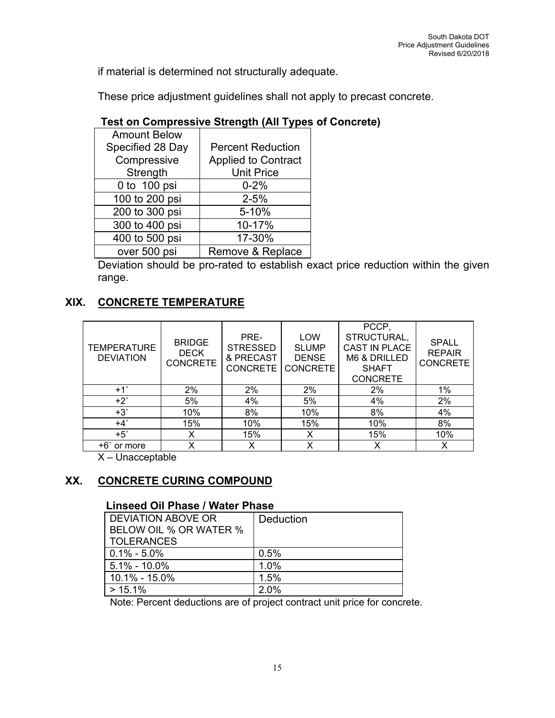if material is determined not structurally adequate.

These price adjustment guidelines shall not apply to precast concrete.

| <b>Amount Below</b> |                            |
|---------------------|----------------------------|
| Specified 28 Day    | <b>Percent Reduction</b>   |
| Compressive         | <b>Applied to Contract</b> |
| Strength            | <b>Unit Price</b>          |
| 0 to 100 psi        | $0 - 2%$                   |
| 100 to 200 psi      | $2 - 5%$                   |
| 200 to 300 psi      | 5-10%                      |
| 300 to 400 psi      | 10-17%                     |
| 400 to 500 psi      | 17-30%                     |
| over 500 psi        | Remove & Replace           |

# **Test on Compressive Strength (All Types of Concrete)**

Deviation should be pro-rated to establish exact price reduction within the given range.

# **XIX. CONCRETE TEMPERATURE**

| <b>TEMPERATURE</b><br><b>DEVIATION</b> | <b>BRIDGE</b><br><b>DECK</b><br><b>CONCRETE</b> | PRE-<br><b>STRESSED</b><br>& PRECAST<br><b>CONCRETE</b> | <b>LOW</b><br><b>SLUMP</b><br><b>DENSE</b><br><b>CONCRETE</b> | PCCP,<br>STRUCTURAL,<br><b>CAST IN PLACE</b><br>M6 & DRILLED<br><b>SHAFT</b><br><b>CONCRETE</b> | <b>SPALL</b><br><b>REPAIR</b><br><b>CONCRETE</b> |
|----------------------------------------|-------------------------------------------------|---------------------------------------------------------|---------------------------------------------------------------|-------------------------------------------------------------------------------------------------|--------------------------------------------------|
| $+1^\circ$                             | 2%                                              | 2%                                                      | 2%                                                            | 2%                                                                                              | 1%                                               |
| $+2^\circ$                             | 5%                                              | 4%                                                      | 5%                                                            | 4%                                                                                              | 2%                                               |
| $+3^\circ$                             | 10%                                             | 8%                                                      | 10%                                                           | 8%                                                                                              | 4%                                               |
| $+4^\circ$                             | 15%                                             | 10%                                                     | 15%                                                           | 10%                                                                                             | 8%                                               |
| $+5^\circ$                             | x                                               | 15%                                                     | X                                                             | 15%                                                                                             | 10%                                              |
| +6° or more                            | x                                               | x                                                       | x                                                             | X                                                                                               | x                                                |

X – Unacceptable

# **XX. CONCRETE CURING COMPOUND**

## **Linseed Oil Phase / Water Phase**

| DEVIATION ABOVE OR<br>BELOW OIL % OR WATER % | Deduction |
|----------------------------------------------|-----------|
| <b>TOLERANCES</b>                            |           |
| $0.1\% - 5.0\%$                              | 0.5%      |
| $5.1\% - 10.0\%$                             | 1.0%      |
| 10.1% - 15.0%                                | 1.5%      |
| $> 15.1\%$                                   | 2.0%      |

Note: Percent deductions are of project contract unit price for concrete.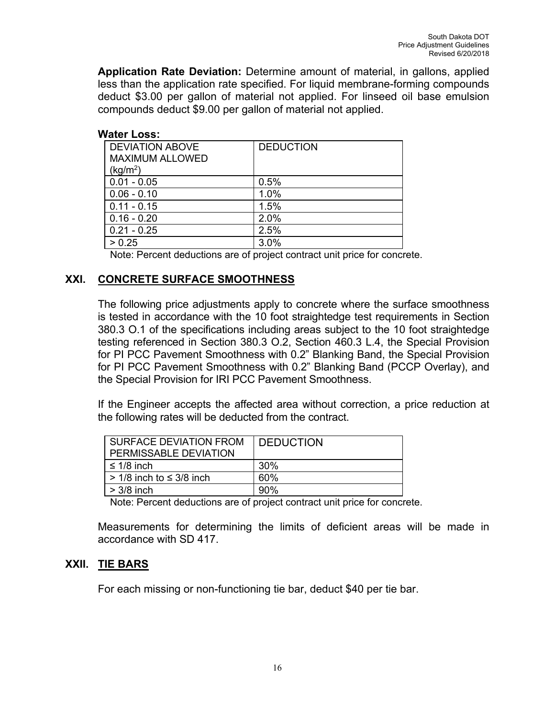**Application Rate Deviation:** Determine amount of material, in gallons, applied less than the application rate specified. For liquid membrane-forming compounds deduct \$3.00 per gallon of material not applied. For linseed oil base emulsion compounds deduct \$9.00 per gallon of material not applied.

### **Water Loss:**

| <b>DEVIATION ABOVE</b> | <b>DEDUCTION</b> |
|------------------------|------------------|
| <b>MAXIMUM ALLOWED</b> |                  |
| (kg/m <sup>2</sup> )   |                  |
| $0.01 - 0.05$          | 0.5%             |
| $0.06 - 0.10$          | 1.0%             |
| $0.11 - 0.15$          | 1.5%             |
| $0.16 - 0.20$          | 2.0%             |
| $0.21 - 0.25$          | 2.5%             |
| > 0.25                 | 3.0%             |

Note: Percent deductions are of project contract unit price for concrete.

# **XXI. CONCRETE SURFACE SMOOTHNESS**

The following price adjustments apply to concrete where the surface smoothness is tested in accordance with the 10 foot straightedge test requirements in Section 380.3 O.1 of the specifications including areas subject to the 10 foot straightedge testing referenced in Section 380.3 O.2, Section 460.3 L.4, the Special Provision for PI PCC Pavement Smoothness with 0.2" Blanking Band, the Special Provision for PI PCC Pavement Smoothness with 0.2" Blanking Band (PCCP Overlay), and the Special Provision for IRI PCC Pavement Smoothness.

If the Engineer accepts the affected area without correction, a price reduction at the following rates will be deducted from the contract.

| SURFACE DEVIATION FROM<br>PERMISSABLE DEVIATION | <b>DEDUCTION</b> |
|-------------------------------------------------|------------------|
| ≤ 1/8 inch                                      | 30%              |
| $> 1/8$ inch to $\leq 3/8$ inch                 | 60%              |
| $>$ 3/8 inch                                    | 90%              |

Note: Percent deductions are of project contract unit price for concrete.

Measurements for determining the limits of deficient areas will be made in accordance with SD 417.

## **XXII. TIE BARS**

For each missing or non-functioning tie bar, deduct \$40 per tie bar.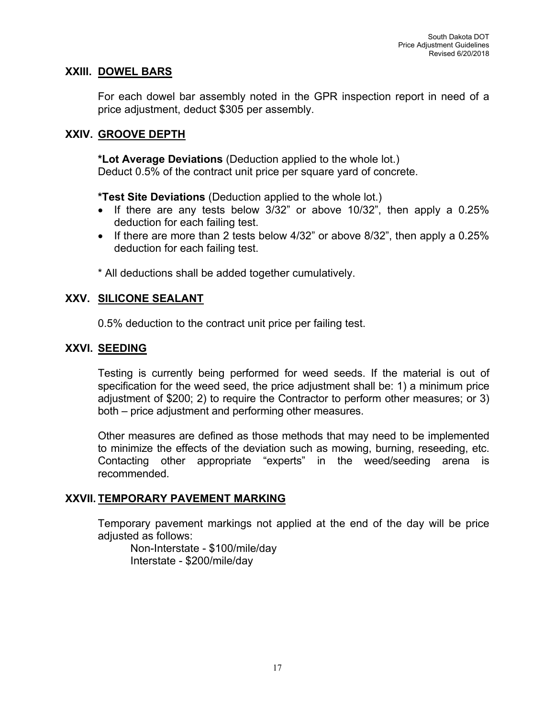### **XXIII. DOWEL BARS**

For each dowel bar assembly noted in the GPR inspection report in need of a price adjustment, deduct \$305 per assembly.

### **XXIV. GROOVE DEPTH**

**\*Lot Average Deviations** (Deduction applied to the whole lot.) Deduct 0.5% of the contract unit price per square yard of concrete.

**\*Test Site Deviations** (Deduction applied to the whole lot.)

- If there are any tests below  $3/32$ " or above 10/32", then apply a 0.25% deduction for each failing test.
- If there are more than 2 tests below  $4/32$ " or above  $8/32$ ", then apply a  $0.25\%$ deduction for each failing test.

\* All deductions shall be added together cumulatively.

### **XXV. SILICONE SEALANT**

0.5% deduction to the contract unit price per failing test.

### **XXVI. SEEDING**

Testing is currently being performed for weed seeds. If the material is out of specification for the weed seed, the price adjustment shall be: 1) a minimum price adjustment of \$200; 2) to require the Contractor to perform other measures; or 3) both – price adjustment and performing other measures.

Other measures are defined as those methods that may need to be implemented to minimize the effects of the deviation such as mowing, burning, reseeding, etc. Contacting other appropriate "experts" in the weed/seeding arena is recommended.

### **XXVII. TEMPORARY PAVEMENT MARKING**

Temporary pavement markings not applied at the end of the day will be price adjusted as follows:

Non-Interstate - \$100/mile/day Interstate - \$200/mile/day